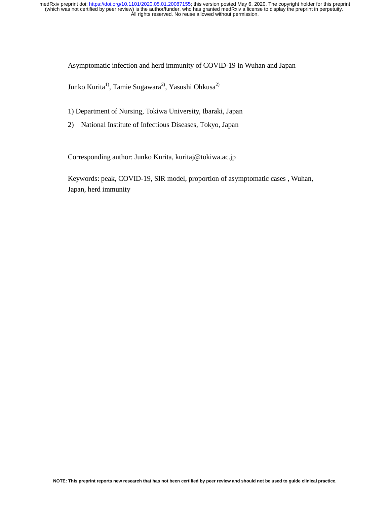Asymptomatic infection and herd immunity of COVID-19 in Wuhan and Japan

Junko Kurita<sup>1)</sup>, Tamie Sugawara<sup>2)</sup>, Yasushi Ohkusa<sup>2)</sup>

1) Department of Nursing, Tokiwa University, Ibaraki, Japan

2) National Institute of Infectious Diseases, Tokyo, Japan

Corresponding author: Junko Kurita, kuritaj@tokiwa.ac.jp

Keywords: peak, COVID-19, SIR model, proportion of asymptomatic cases , Wuhan, Japan, herd immunity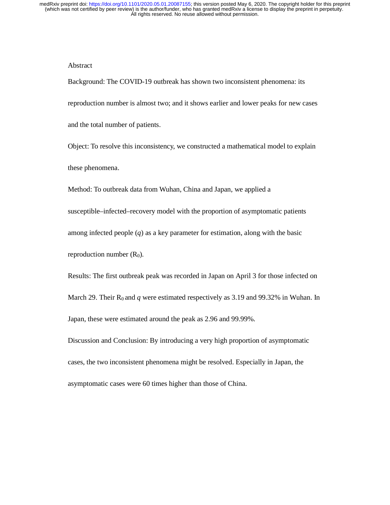### Abstract

Background: The COVID-19 outbreak has shown two inconsistent phenomena: its reproduction number is almost two; and it shows earlier and lower peaks for new cases and the total number of patients. Object: To resolve this inconsistency, we constructed a mathematical model to explain these phenomena.

Method: To outbreak data from Wuhan, China and Japan, we applied a susceptible–infected–recovery model with the proportion of asymptomatic patients among infected people (*q*) as a key parameter for estimation, along with the basic reproduction number  $(R_0)$ .

Results: The first outbreak peak was recorded in Japan on April 3 for those infected on March 29. Their  $R_0$  and *q* were estimated respectively as 3.19 and 99.32% in Wuhan. In Japan, these were estimated around the peak as 2.96 and 99.99%.

Discussion and Conclusion: By introducing a very high proportion of asymptomatic cases, the two inconsistent phenomena might be resolved. Especially in Japan, the asymptomatic cases were 60 times higher than those of China.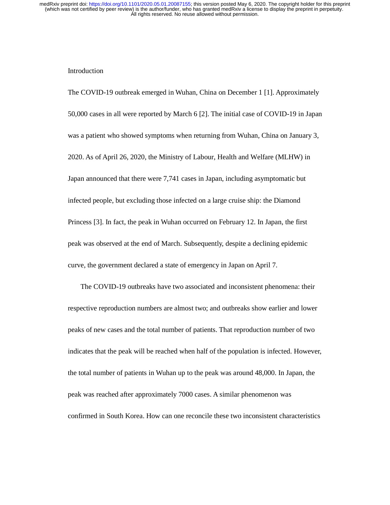### Introduction

The COVID-19 outbreak emerged in Wuhan, China on December 1 [1]. Approximately 50,000 cases in all were reported by March 6 [2]. The initial case of COVID-19 in Japan was a patient who showed symptoms when returning from Wuhan, China on January 3, 2020. As of April 26, 2020, the Ministry of Labour, Health and Welfare (MLHW) in Japan announced that there were 7,741 cases in Japan, including asymptomatic but infected people, but excluding those infected on a large cruise ship: the Diamond Princess [3]. In fact, the peak in Wuhan occurred on February 12. In Japan, the first peak was observed at the end of March. Subsequently, despite a declining epidemic curve, the government declared a state of emergency in Japan on April 7.

The COVID-19 outbreaks have two associated and inconsistent phenomena: their respective reproduction numbers are almost two; and outbreaks show earlier and lower peaks of new cases and the total number of patients. That reproduction number of two indicates that the peak will be reached when half of the population is infected. However, the total number of patients in Wuhan up to the peak was around 48,000. In Japan, the peak was reached after approximately 7000 cases. A similar phenomenon was confirmed in South Korea. How can one reconcile these two inconsistent characteristics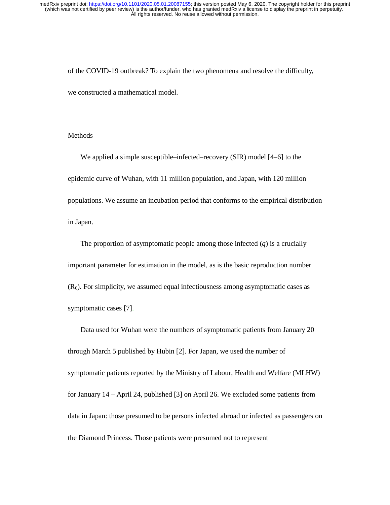of the COVID-19 outbreak? To explain the two phenomena and resolve the difficulty, we constructed a mathematical model.

### **Methods**

We applied a simple susceptible–infected–recovery (SIR) model [4–6] to the epidemic curve of Wuhan, with 11 million population, and Japan, with 120 million populations. We assume an incubation period that conforms to the empirical distribution in Japan.

The proportion of asymptomatic people among those infected (*q*) is a crucially important parameter for estimation in the model, as is the basic reproduction number  $(R<sub>0</sub>)$ . For simplicity, we assumed equal infectiousness among asymptomatic cases as symptomatic cases [7].

Data used for Wuhan were the numbers of symptomatic patients from January 20 through March 5 published by Hubin [2]. For Japan, we used the number of symptomatic patients reported by the Ministry of Labour, Health and Welfare (MLHW) for January 14 – April 24, published [3] on April 26. We excluded some patients from data in Japan: those presumed to be persons infected abroad or infected as passengers on the Diamond Princess. Those patients were presumed not to represent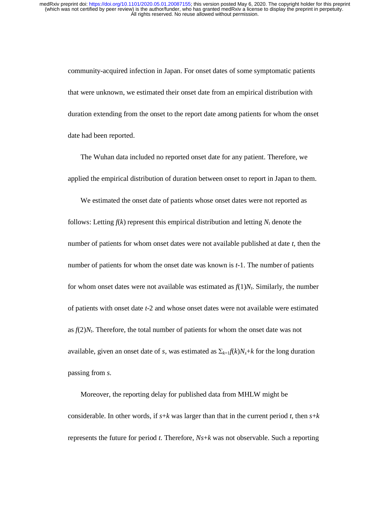community-acquired infection in Japan. For onset dates of some symptomatic patients that were unknown, we estimated their onset date from an empirical distribution with duration extending from the onset to the report date among patients for whom the onset date had been reported.

The Wuhan data included no reported onset date for any patient. Therefore, we applied the empirical distribution of duration between onset to report in Japan to them.

We estimated the onset date of patients whose onset dates were not reported as follows: Letting  $f(k)$  represent this empirical distribution and letting  $N_t$  denote the number of patients for whom onset dates were not available published at date *t*, then the number of patients for whom the onset date was known is *t*-1. The number of patients for whom onset dates were not available was estimated as  $f(1)N_t$ . Similarly, the number of patients with onset date *t*-2 and whose onset dates were not available were estimated as  $f(2)N_t$ . Therefore, the total number of patients for whom the onset date was not available, given an onset date of *s*, was estimated as  $\Sigma_{k=1} f(k) N_s + k$  for the long duration passing from *s*.

Moreover, the reporting delay for published data from MHLW might be considerable. In other words, if  $s+k$  was larger than that in the current period *t*, then  $s+k$ represents the future for period *t*. Therefore, *Ns*+*k* was not observable. Such a reporting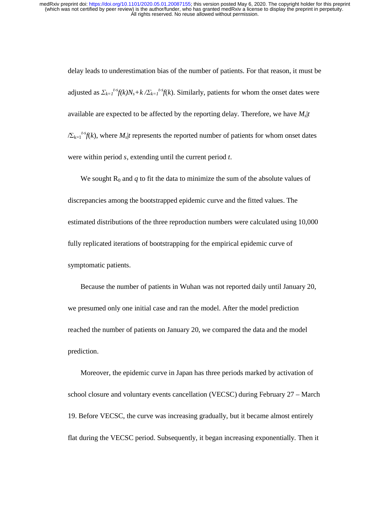delay leads to underestimation bias of the number of patients. For that reason, it must be adjusted as  $\sum_{k=1}^{t-s} f(k)N_s + k \sqrt{\sum_{k=1}^{t-s}} f(k)$ . Similarly, patients for whom the onset dates were available are expected to be affected by the reporting delay. Therefore, we have  $M<sub>s</sub>|t$  $\sum_{k=1}^{t-s} f(k)$ , where  $M_s$  *t* represents the reported number of patients for whom onset dates were within period *s*, extending until the current period *t*.

We sought  $R_0$  and  $q$  to fit the data to minimize the sum of the absolute values of discrepancies among the bootstrapped epidemic curve and the fitted values. The estimated distributions of the three reproduction numbers were calculated using 10,000 fully replicated iterations of bootstrapping for the empirical epidemic curve of symptomatic patients.

Because the number of patients in Wuhan was not reported daily until January 20, we presumed only one initial case and ran the model. After the model prediction reached the number of patients on January 20, we compared the data and the model prediction.

Moreover, the epidemic curve in Japan has three periods marked by activation of school closure and voluntary events cancellation (VECSC) during February 27 – March 19. Before VECSC, the curve was increasing gradually, but it became almost entirely flat during the VECSC period. Subsequently, it began increasing exponentially. Then it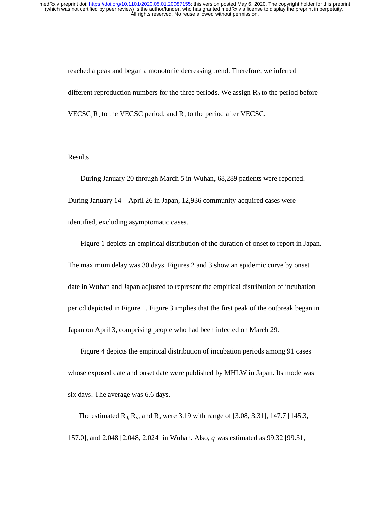reached a peak and began a monotonic decreasing trend. Therefore, we inferred different reproduction numbers for the three periods. We assign  $R_0$  to the period before VECSC,  $R_v$  to the VECSC period, and  $R_a$  to the period after VECSC.

# Results

During January 20 through March 5 in Wuhan, 68,289 patients were reported. During January 14 – April 26 in Japan, 12,936 community-acquired cases were identified, excluding asymptomatic cases.

Figure 1 depicts an empirical distribution of the duration of onset to report in Japan. The maximum delay was 30 days. Figures 2 and 3 show an epidemic curve by onset date in Wuhan and Japan adjusted to represent the empirical distribution of incubation period depicted in Figure 1. Figure 3 implies that the first peak of the outbreak began in Japan on April 3, comprising people who had been infected on March 29.

Figure 4 depicts the empirical distribution of incubation periods among 91 cases whose exposed date and onset date were published by MHLW in Japan. Its mode was six days. The average was 6.6 days.

The estimated  $R_0$ ,  $R_v$ , and  $R_a$  were 3.19 with range of [3.08, 3.31], 147.7 [145.3, 157.0], and 2.048 [2.048, 2.024] in Wuhan. Also, *q* was estimated as 99.32 [99.31,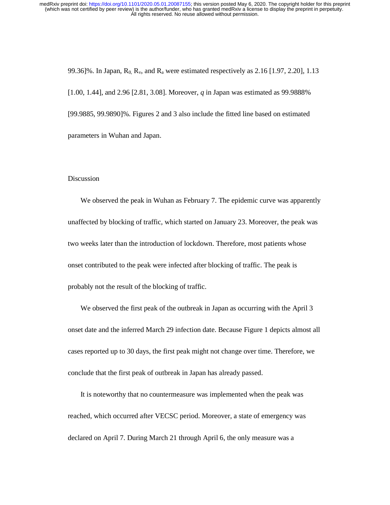99.36]%. In Japan,  $R_0$ ,  $R_v$ , and  $R_a$  were estimated respectively as 2.16 [1.97, 2.20], 1.13 [1.00, 1.44], and 2.96 [2.81, 3.08]. Moreover, *q* in Japan was estimated as 99.9888% [99.9885, 99.9890]%. Figures 2 and 3 also include the fitted line based on estimated parameters in Wuhan and Japan.

### Discussion

We observed the peak in Wuhan as February 7. The epidemic curve was apparently unaffected by blocking of traffic, which started on January 23. Moreover, the peak was two weeks later than the introduction of lockdown. Therefore, most patients whose onset contributed to the peak were infected after blocking of traffic. The peak is probably not the result of the blocking of traffic.

We observed the first peak of the outbreak in Japan as occurring with the April 3 onset date and the inferred March 29 infection date. Because Figure 1 depicts almost all cases reported up to 30 days, the first peak might not change over time. Therefore, we conclude that the first peak of outbreak in Japan has already passed.

It is noteworthy that no countermeasure was implemented when the peak was reached, which occurred after VECSC period. Moreover, a state of emergency was declared on April 7. During March 21 through April 6, the only measure was a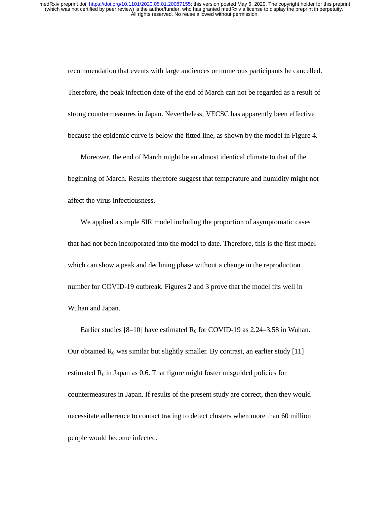recommendation that events with large audiences or numerous participants be cancelled. Therefore, the peak infection date of the end of March can not be regarded as a result of strong countermeasures in Japan. Nevertheless, VECSC has apparently been effective because the epidemic curve is below the fitted line, as shown by the model in Figure 4.

Moreover, the end of March might be an almost identical climate to that of the beginning of March. Results therefore suggest that temperature and humidity might not affect the virus infectiousness.

We applied a simple SIR model including the proportion of asymptomatic cases that had not been incorporated into the model to date. Therefore, this is the first model which can show a peak and declining phase without a change in the reproduction number for COVID-19 outbreak. Figures 2 and 3 prove that the model fits well in Wuhan and Japan.

Earlier studies [8–10] have estimated  $R_0$  for COVID-19 as 2.24–3.58 in Wuhan. Our obtained  $R_0$  was similar but slightly smaller. By contrast, an earlier study [11] estimated  $R_0$  in Japan as 0.6. That figure might foster misguided policies for countermeasures in Japan. If results of the present study are correct, then they would necessitate adherence to contact tracing to detect clusters when more than 60 million people would become infected.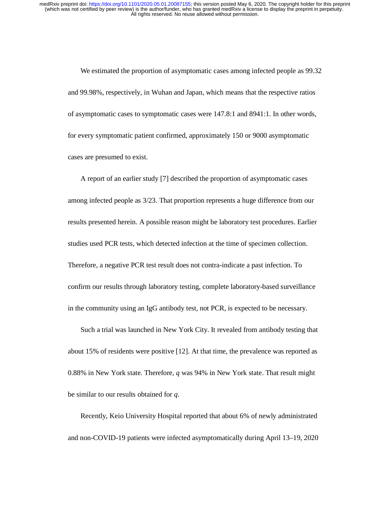We estimated the proportion of asymptomatic cases among infected people as 99.32 and 99.98%, respectively, in Wuhan and Japan, which means that the respective ratios of asymptomatic cases to symptomatic cases were 147.8:1 and 8941:1. In other words, for every symptomatic patient confirmed, approximately 150 or 9000 asymptomatic cases are presumed to exist.

A report of an earlier study [7] described the proportion of asymptomatic cases among infected people as 3/23. That proportion represents a huge difference from our results presented herein. A possible reason might be laboratory test procedures. Earlier studies used PCR tests, which detected infection at the time of specimen collection. Therefore, a negative PCR test result does not contra-indicate a past infection. To confirm our results through laboratory testing, complete laboratory-based surveillance in the community using an IgG antibody test, not PCR, is expected to be necessary.

Such a trial was launched in New York City. It revealed from antibody testing that about 15% of residents were positive [12]. At that time, the prevalence was reported as 0.88% in New York state. Therefore, *q* was 94% in New York state. That result might be similar to our results obtained for *q*.

Recently, Keio University Hospital reported that about 6% of newly administrated and non-COVID-19 patients were infected asymptomatically during April 13–19, 2020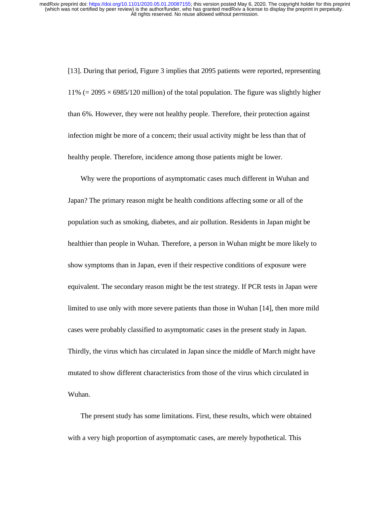[13]. During that period, Figure 3 implies that 2095 patients were reported, representing 11% (= 2095  $\times$  6985/120 million) of the total population. The figure was slightly higher than 6%. However, they were not healthy people. Therefore, their protection against infection might be more of a concern; their usual activity might be less than that of healthy people. Therefore, incidence among those patients might be lower.

Why were the proportions of asymptomatic cases much different in Wuhan and Japan? The primary reason might be health conditions affecting some or all of the population such as smoking, diabetes, and air pollution. Residents in Japan might be healthier than people in Wuhan. Therefore, a person in Wuhan might be more likely to show symptoms than in Japan, even if their respective conditions of exposure were equivalent. The secondary reason might be the test strategy. If PCR tests in Japan were limited to use only with more severe patients than those in Wuhan [14], then more mild cases were probably classified to asymptomatic cases in the present study in Japan. Thirdly, the virus which has circulated in Japan since the middle of March might have mutated to show different characteristics from those of the virus which circulated in Wuhan.

The present study has some limitations. First, these results, which were obtained with a very high proportion of asymptomatic cases, are merely hypothetical. This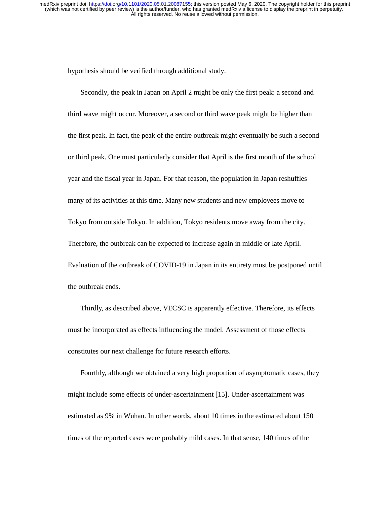hypothesis should be verified through additional study.

Secondly, the peak in Japan on April 2 might be only the first peak: a second and third wave might occur. Moreover, a second or third wave peak might be higher than the first peak. In fact, the peak of the entire outbreak might eventually be such a second or third peak. One must particularly consider that April is the first month of the school year and the fiscal year in Japan. For that reason, the population in Japan reshuffles many of its activities at this time. Many new students and new employees move to Tokyo from outside Tokyo. In addition, Tokyo residents move away from the city. Therefore, the outbreak can be expected to increase again in middle or late April. Evaluation of the outbreak of COVID-19 in Japan in its entirety must be postponed until the outbreak ends.

Thirdly, as described above, VECSC is apparently effective. Therefore, its effects must be incorporated as effects influencing the model. Assessment of those effects constitutes our next challenge for future research efforts.

Fourthly, although we obtained a very high proportion of asymptomatic cases, they might include some effects of under-ascertainment [15]. Under-ascertainment was estimated as 9% in Wuhan. In other words, about 10 times in the estimated about 150 times of the reported cases were probably mild cases. In that sense, 140 times of the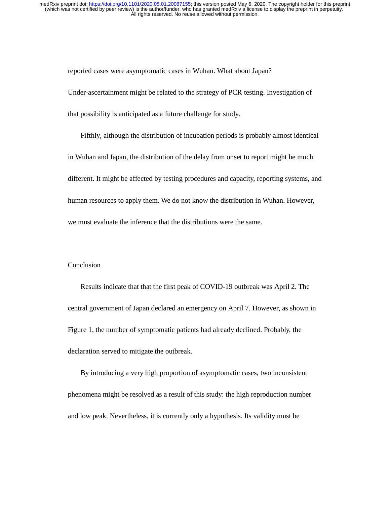reported cases were asymptomatic cases in Wuhan. What about Japan? Under-ascertainment might be related to the strategy of PCR testing. Investigation of that possibility is anticipated as a future challenge for study.

Fifthly, although the distribution of incubation periods is probably almost identical in Wuhan and Japan, the distribution of the delay from onset to report might be much different. It might be affected by testing procedures and capacity, reporting systems, and human resources to apply them. We do not know the distribution in Wuhan. However, we must evaluate the inference that the distributions were the same.

# Conclusion

Results indicate that that the first peak of COVID-19 outbreak was April 2. The central government of Japan declared an emergency on April 7. However, as shown in Figure 1, the number of symptomatic patients had already declined. Probably, the declaration served to mitigate the outbreak.

By introducing a very high proportion of asymptomatic cases, two inconsistent phenomena might be resolved as a result of this study: the high reproduction number and low peak. Nevertheless, it is currently only a hypothesis. Its validity must be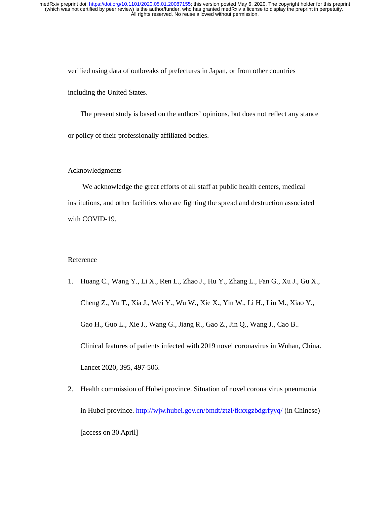verified using data of outbreaks of prefectures in Japan, or from other countries including the United States.

The present study is based on the authors' opinions, but does not reflect any stance or policy of their professionally affiliated bodies.

### Acknowledgments

We acknowledge the great efforts of all staff at public health centers, medical institutions, and other facilities who are fighting the spread and destruction associated with COVID-19.

# Reference

- 1. Huang C., Wang Y., Li X., Ren L., Zhao J., Hu Y., Zhang L., Fan G., Xu J., Gu X., Cheng Z., Yu T., Xia J., Wei Y., Wu W., Xie X., Yin W., Li H., Liu M., Xiao Y., Gao H., Guo L., Xie J., Wang G., Jiang R., Gao Z., Jin Q., Wang J., Cao B.. Clinical features of patients infected with 2019 novel coronavirus in Wuhan, China. Lancet 2020, 395, 497-506.
- 2. Health commission of Hubei province. Situation of novel corona virus pneumonia in Hubei province. http://wjw.hubei.gov.cn/bmdt/ztzl/fkxxgzbdgrfyyq/ (in Chinese) [access on 30 April]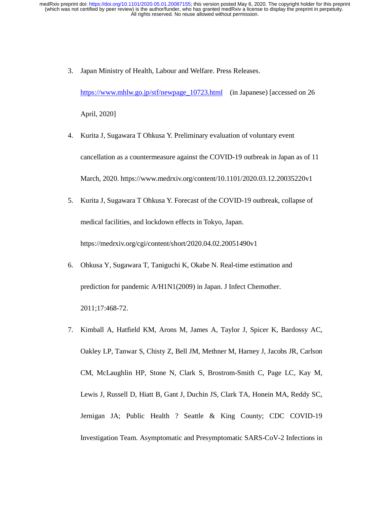3. Japan Ministry of Health, Labour and Welfare. Press Releases.

https://www.mhlw.go.jp/stf/newpage 10723.html (in Japanese) [accessed on 26 April, 2020]

- 4. Kurita J, Sugawara T Ohkusa Y. Preliminary evaluation of voluntary event cancellation as a countermeasure against the COVID-19 outbreak in Japan as of 11 March, 2020. https://www.medrxiv.org/content/10.1101/2020.03.12.20035220v1
- 5. Kurita J, Sugawara T Ohkusa Y. Forecast of the COVID-19 outbreak, collapse of medical facilities, and lockdown effects in Tokyo, Japan. https://medrxiv.org/cgi/content/short/2020.04.02.20051490v1
- 6. Ohkusa Y, Sugawara T, Taniguchi K, Okabe N. Real-time estimation and prediction for pandemic A/H1N1(2009) in Japan. J Infect Chemother. 2011;17:468-72.
- 7. Kimball A, Hatfield KM, Arons M, James A, Taylor J, Spicer K, Bardossy AC, Oakley LP, Tanwar S, Chisty Z, Bell JM, Methner M, Harney J, Jacobs JR, Carlson CM, McLaughlin HP, Stone N, Clark S, Brostrom-Smith C, Page LC, Kay M, Lewis J, Russell D, Hiatt B, Gant J, Duchin JS, Clark TA, Honein MA, Reddy SC, Jernigan JA; Public Health ? Seattle & King County; CDC COVID-19 Investigation Team. Asymptomatic and Presymptomatic SARS-CoV-2 Infections in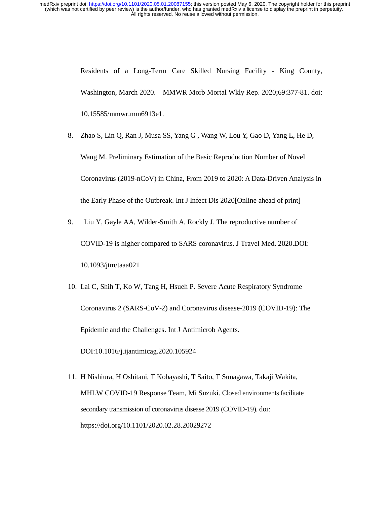> Residents of a Long-Term Care Skilled Nursing Facility - King County, Washington, March 2020. MMWR Morb Mortal Wkly Rep. 2020;69:377-81. doi: 10.15585/mmwr.mm6913e1.

- 8. Zhao S, Lin Q, Ran J, Musa SS, Yang G , Wang W, Lou Y, Gao D, Yang L, He D, Wang M. Preliminary Estimation of the Basic Reproduction Number of Novel Coronavirus (2019-nCoV) in China, From 2019 to 2020: A Data-Driven Analysis in the Early Phase of the Outbreak. Int J Infect Dis 2020[Online ahead of print]
- 9. Liu Y, Gayle AA, Wilder-Smith A, Rockly J. The reproductive number of COVID-19 is higher compared to SARS coronavirus. J Travel Med. 2020.DOI: 10.1093/jtm/taaa021
- 10. Lai C, Shih T, Ko W, Tang H, Hsueh P. Severe Acute Respiratory Syndrome Coronavirus 2 (SARS-CoV-2) and Coronavirus disease-2019 (COVID-19): The Epidemic and the Challenges. Int J Antimicrob Agents.

DOI:10.1016/j.ijantimicag.2020.105924

11. H Nishiura, H Oshitani, T Kobayashi, T Saito, T Sunagawa, Takaji Wakita, MHLW COVID-19 Response Team, Mi Suzuki. Closed environments facilitate secondary transmission of coronavirus disease 2019 (COVID-19). doi: https://doi.org/10.1101/2020.02.28.20029272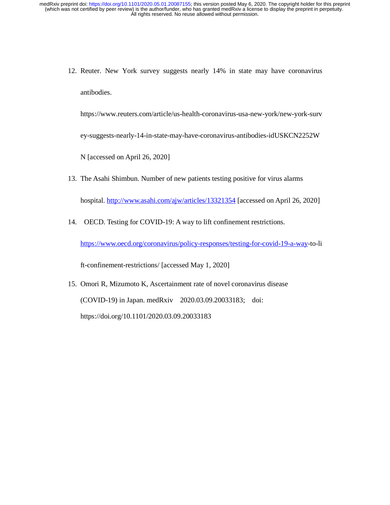12. Reuter. New York survey suggests nearly 14% in state may have coronavirus antibodies.

https://www.reuters.com/article/us-health-coronavirus-usa-new-york/new-york-surv

ey-suggests-nearly-14-in-state-may-have-coronavirus-antibodies-idUSKCN2252W

N [accessed on April 26, 2020]

13. The Asahi Shimbun. Number of new patients testing positive for virus alarms

hospital. http://www.asahi.com/ajw/articles/13321354 [accessed on April 26, 2020]

14. OECD. Testing for COVID-19: A way to lift confinement restrictions.

https://www.oecd.org/coronavirus/policy-responses/testing-for-covid-19-a-way-to-li

ft-confinement-restrictions/ [accessed May 1, 2020]

15. Omori R, Mizumoto K, Ascertainment rate of novel coronavirus disease (COVID-19) in Japan. medRxiv 2020.03.09.20033183; doi: https://doi.org/10.1101/2020.03.09.20033183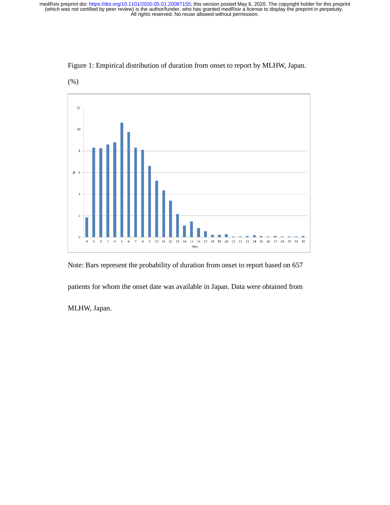

Figure 1: Empirical distribution of duration from onset to report by MLHW, Japan.

Note: Bars represent the probability of duration from onset to report based on 657

patients for whom the onset date was available in Japan. Data were obtained from

MLHW, Japan.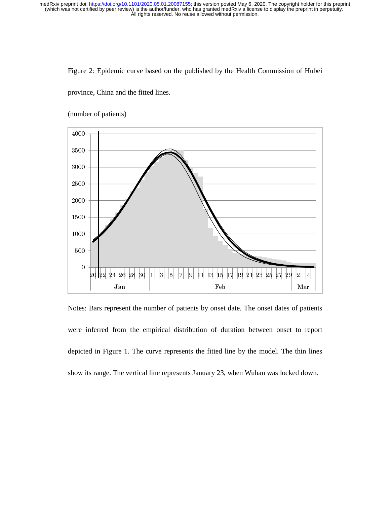Figure 2: Epidemic curve based on the published by the Health Commission of Hubei

province, China and the fitted lines.



(number of patients)

Notes: Bars represent the number of patients by onset date. The onset dates of patients were inferred from the empirical distribution of duration between onset to report depicted in Figure 1. The curve represents the fitted line by the model. The thin lines show its range. The vertical line represents January 23, when Wuhan was locked down.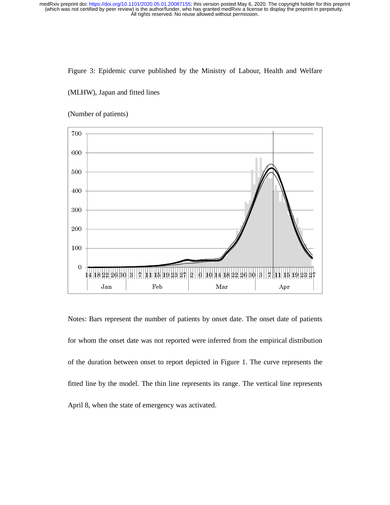# Figure 3: Epidemic curve published by the Ministry of Labour, Health and Welfare

### (MLHW), Japan and fitted lines

# Feb T101/222.05.01 2007155; this version posted May 6, 2020. The convertional process of the convertional intervention of the mathematical process of the conversion of the mathematical process allowed without permission.<br> 700 600 500 400 300 200 100  $\mathbf{0}$ Feb Mar Jan Apr

(Number of patients)

Notes: Bars represent the number of patients by onset date. The onset date of patients for whom the onset date was not reported were inferred from the empirical distribution of the duration between onset to report depicted in Figure 1. The curve represents the fitted line by the model. The thin line represents its range. The vertical line represents April 8, when the state of emergency was activated.